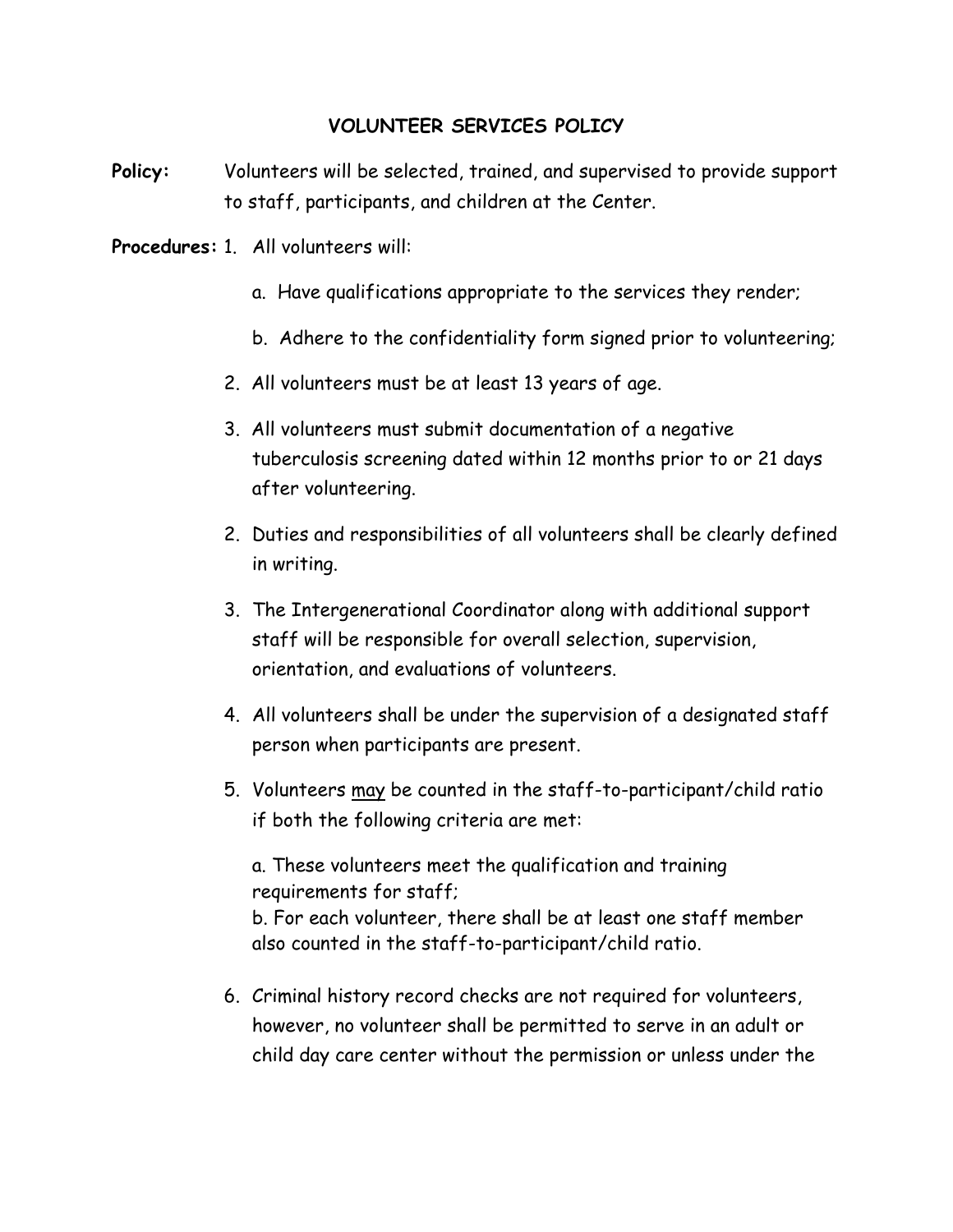## **VOLUNTEER SERVICES POLICY**

**Policy:** Volunteers will be selected, trained, and supervised to provide support to staff, participants, and children at the Center.

**Procedures:** 1. All volunteers will:

- a. Have qualifications appropriate to the services they render;
- b. Adhere to the confidentiality form signed prior to volunteering;
- 2. All volunteers must be at least 13 years of age.
- 3. All volunteers must submit documentation of a negative tuberculosis screening dated within 12 months prior to or 21 days after volunteering.
- 2. Duties and responsibilities of all volunteers shall be clearly defined in writing.
- 3. The Intergenerational Coordinator along with additional support staff will be responsible for overall selection, supervision, orientation, and evaluations of volunteers.
- 4. All volunteers shall be under the supervision of a designated staff person when participants are present.
- 5. Volunteers may be counted in the staff-to-participant/child ratio if both the following criteria are met:

 a. These volunteers meet the qualification and training requirements for staff;

 b. For each volunteer, there shall be at least one staff member also counted in the staff-to-participant/child ratio.

 6. Criminal history record checks are not required for volunteers, however, no volunteer shall be permitted to serve in an adult or child day care center without the permission or unless under the